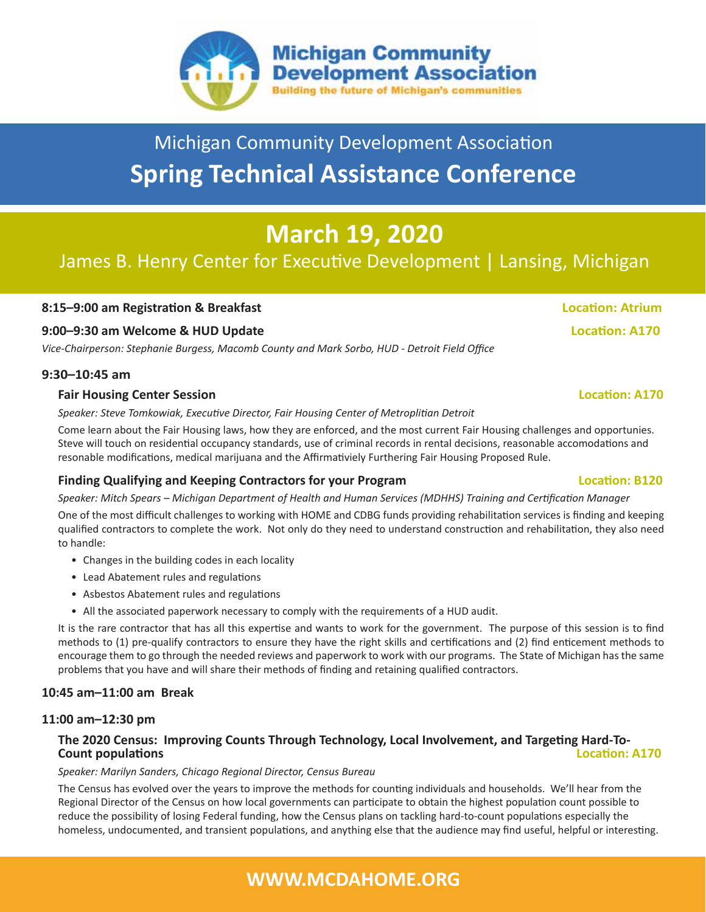

# Michigan Community Development Association **Spring Technical Assistance Conference**

# **March 19, 2020**

## James B. Henry Center for Executive Development | Lansing, Michigan

#### **8:15–9:00 am Registration & Breakfast Location: Atrium**

#### **9:00–9:30 am Welcome & HUD Update Location: A170**

*Vice-Chairperson: Stephanie Burgess, Macomb County and Mark Sorbo, HUD - Detroit Field Office*

#### **9:30–10:45 am**

#### **Fair Housing Center Session Location: A170**

*Speaker: Steve Tomkowiak, Executive Director, Fair Housing Center of Metroplitian Detroit*

Come learn about the Fair Housing laws, how they are enforced, and the most current Fair Housing challenges and opportunies. Steve will touch on residential occupancy standards, use of criminal records in rental decisions, reasonable accomodations and resonable modifications, medical marijuana and the Affirmativiely Furthering Fair Housing Proposed Rule.

#### **Finding Qualifying and Keeping Contractors for your Program Location: B120**

*Speaker: Mitch Spears – Michigan Department of Health and Human Services (MDHHS) Training and Certification Manager*

One of the most difficult challenges to working with HOME and CDBG funds providing rehabilitation services is finding and keeping qualified contractors to complete the work. Not only do they need to understand construction and rehabilitation, they also need to handle:

- Changes in the building codes in each locality
- Lead Abatement rules and regulations
- Asbestos Abatement rules and regulations
- All the associated paperwork necessary to comply with the requirements of a HUD audit.

It is the rare contractor that has all this expertise and wants to work for the government. The purpose of this session is to find methods to (1) pre-qualify contractors to ensure they have the right skills and certifications and (2) find enticement methods to encourage them to go through the needed reviews and paperwork to work with our programs. The State of Michigan has the same problems that you have and will share their methods of finding and retaining qualified contractors.

#### **10:45 am–11:00 am Break**

#### **11:00 am–12:30 pm**

#### **The 2020 Census: Improving Counts Through Technology, Local Involvement, and Targeting Hard-To-Count populations Location: A170**

#### *Speaker: Marilyn Sanders, Chicago Regional Director, Census Bureau*

The Census has evolved over the years to improve the methods for counting individuals and households. We'll hear from the Regional Director of the Census on how local governments can participate to obtain the highest population count possible to reduce the possibility of losing Federal funding, how the Census plans on tackling hard-to-count populations especially the homeless, undocumented, and transient populations, and anything else that the audience may find useful, helpful or interesting.

## **WWW.MCDAHOME.ORG**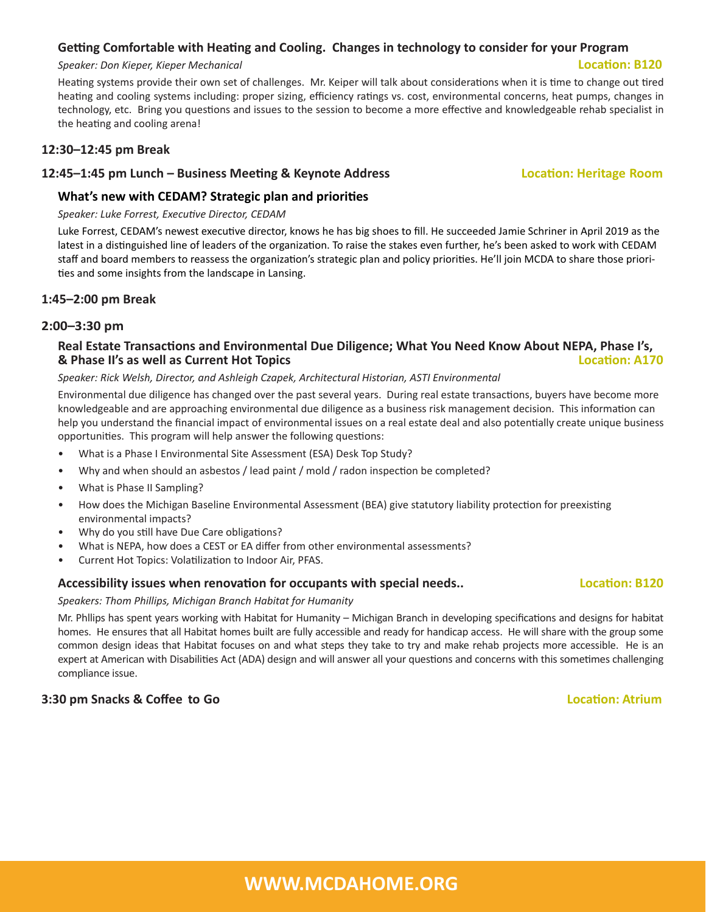## **WWW.MCDAHOME.ORG**

#### **Getting Comfortable with Heating and Cooling. Changes in technology to consider for your Program**

#### *Speaker: Don Kieper, Kieper Mechanical* **Location: B120**

Heating systems provide their own set of challenges. Mr. Keiper will talk about considerations when it is time to change out tired heating and cooling systems including: proper sizing, efficiency ratings vs. cost, environmental concerns, heat pumps, changes in technology, etc. Bring you questions and issues to the session to become a more effective and knowledgeable rehab specialist in the heating and cooling arena!

#### **12:30–12:45 pm Break**

#### **12:45–1:45 pm Lunch – Business Meeting & Keynote Address Location: Heritage Room**

### **What's new with CEDAM? Strategic plan and priorities**

#### *Speaker: Luke Forrest, Executive Director, CEDAM*

Luke Forrest, CEDAM's newest executive director, knows he has big shoes to fill. He succeeded Jamie Schriner in April 2019 as the latest in a distinguished line of leaders of the organization. To raise the stakes even further, he's been asked to work with CEDAM staff and board members to reassess the organization's strategic plan and policy priorities. He'll join MCDA to share those priorities and some insights from the landscape in Lansing.

#### **1:45–2:00 pm Break**

#### **2:00–3:30 pm**

#### **Real Estate Transactions and Environmental Due Diligence; What You Need Know About NEPA, Phase I's, & Phase II's as well as Current Hot Topics**

#### *Speaker: Rick Welsh, Director, and Ashleigh Czapek, Architectural Historian, ASTI Environmental*

Environmental due diligence has changed over the past several years. During real estate transactions, buyers have become more knowledgeable and are approaching environmental due diligence as a business risk management decision. This information can help you understand the financial impact of environmental issues on a real estate deal and also potentially create unique business opportunities. This program will help answer the following questions:

- What is a Phase I Environmental Site Assessment (ESA) Desk Top Study?
- Why and when should an asbestos / lead paint / mold / radon inspection be completed?
- What is Phase II Sampling?
- How does the Michigan Baseline Environmental Assessment (BEA) give statutory liability protection for preexisting environmental impacts?
- Why do you still have Due Care obligations?
- What is NEPA, how does a CEST or EA differ from other environmental assessments?
- Current Hot Topics: Volatilization to Indoor Air, PFAS.

### **Accessibility issues when renovation for occupants with special needs.. Location: B120**

#### *Speakers: Thom Phillips, Michigan Branch Habitat for Humanity*

Mr. Phllips has spent years working with Habitat for Humanity – Michigan Branch in developing specifications and designs for habitat homes. He ensures that all Habitat homes built are fully accessible and ready for handicap access. He will share with the group some common design ideas that Habitat focuses on and what steps they take to try and make rehab projects more accessible. He is an expert at American with Disabilities Act (ADA) design and will answer all your questions and concerns with this sometimes challenging compliance issue.

### **3:30 pm Snacks & Coffee to Go Location: Atrium**